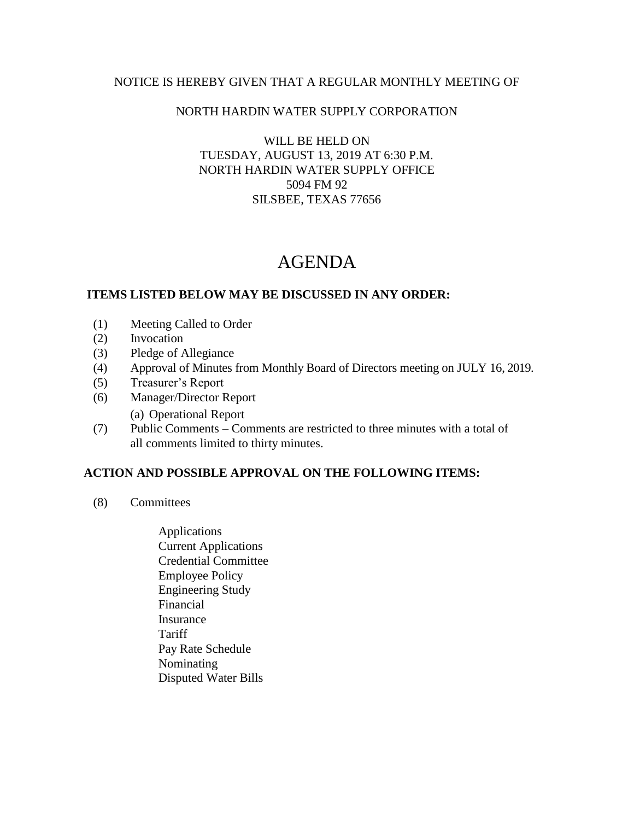### NOTICE IS HEREBY GIVEN THAT A REGULAR MONTHLY MEETING OF

### NORTH HARDIN WATER SUPPLY CORPORATION

WILL BE HELD ON TUESDAY, AUGUST 13, 2019 AT 6:30 P.M. NORTH HARDIN WATER SUPPLY OFFICE 5094 FM 92 SILSBEE, TEXAS 77656

# AGENDA

### **ITEMS LISTED BELOW MAY BE DISCUSSED IN ANY ORDER:**

- (1) Meeting Called to Order
- (2) Invocation
- (3) Pledge of Allegiance
- (4) Approval of Minutes from Monthly Board of Directors meeting on JULY 16, 2019.
- (5) Treasurer's Report
- (6) Manager/Director Report
	- (a) Operational Report
- (7) Public Comments Comments are restricted to three minutes with a total of all comments limited to thirty minutes.

## **ACTION AND POSSIBLE APPROVAL ON THE FOLLOWING ITEMS:**

- (8) Committees
	- Applications Current Applications Credential Committee Employee Policy Engineering Study Financial Insurance **Tariff**  Pay Rate Schedule Nominating Disputed Water Bills